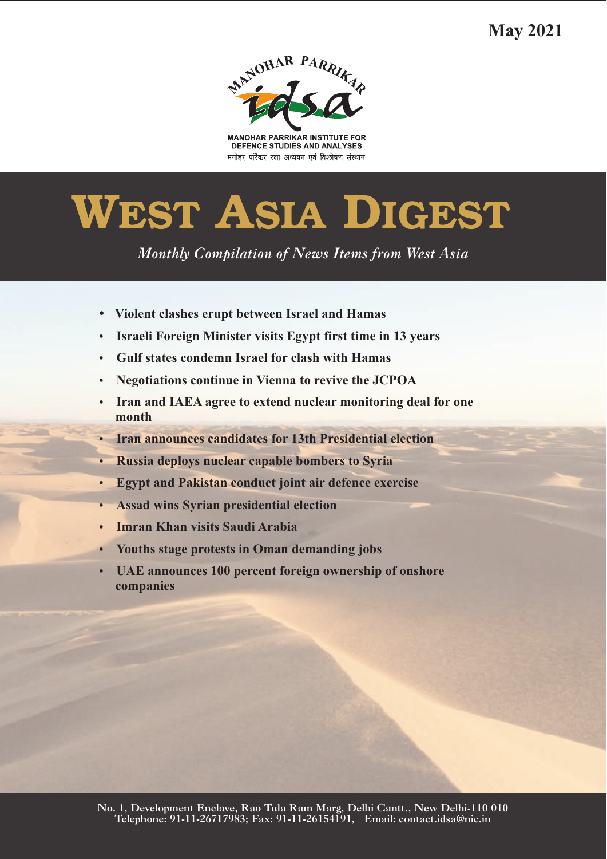**May 2021**



**MANOHAR PARRIKAR INSTITUTE FOR** DEFENCE STUDIES AND ANALYSES मनोहर पर्रिकर रक्षा अध्ययन एवं विश्लेषण संस्थान

# **WEST ASIA DIGEST**

*Monthly Compilation of News Items from West Asia* 

- 
- ??**Violent clashes erupt between Israel and Hamas** ?**Israeli Foreign Minister visits Egypt first time in 13 years**
- ?**Gulf states condemn Israel for clash with Hamas**
- 
- ?**Negotiations continue in Vienna to revive the JCPOA Iran and IAEA agree to extend nuclear monitoring deal for one** month<br>**•** Iran announces candidates for 13th Presidential election
- 
- **Russia deploys nuclear capable bombers to Syria**
- ?**Russia deploys nuclear capable bombers to Syria** ?**Egypt and Pakistan conduct joint air defence exercise**
- ?**Assad wins Syrian presidential election**
- 
- Youths stage protests in Oman demanding jobs
- ?**Youths stage protests in Oman demanding jobs UAE announces 100 percent foreign ownership of onshore companies**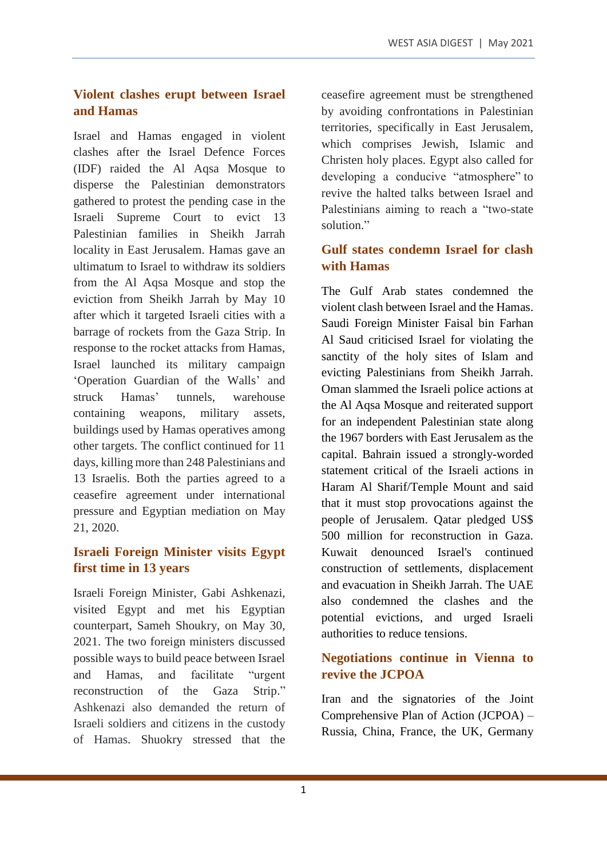#### **Violent clashes erupt between Israel and Hamas**

Israel and Hamas engaged in violent clashes after the Israel Defence Forces (IDF) raided the Al Aqsa Mosque to disperse the Palestinian demonstrators gathered to protest the pending case in the Israeli Supreme Court to evict 13 Palestinian families in Sheikh Jarrah locality in East Jerusalem. Hamas gave an ultimatum to Israel to withdraw its soldiers from the Al Aqsa Mosque and stop the eviction from Sheikh Jarrah by May 10 after which it targeted Israeli cities with a barrage of rockets from the Gaza Strip. In response to the rocket attacks from Hamas, Israel launched its military campaign 'Operation Guardian of the Walls' and struck Hamas' tunnels, warehouse containing weapons, military assets, buildings used by Hamas operatives among other targets. The conflict continued for 11 days, killing more than 248 Palestinians and 13 Israelis. Both the parties agreed to a ceasefire agreement under international pressure and Egyptian mediation on May 21, 2020.

## **Israeli Foreign Minister visits Egypt first time in 13 years**

Israeli Foreign Minister, Gabi Ashkenazi, visited Egypt and met his Egyptian counterpart, Sameh Shoukry, on May 30, 2021. The two foreign ministers discussed possible ways to build peace between Israel and Hamas, and facilitate "urgent reconstruction of the Gaza Strip." Ashkenazi also demanded the return of Israeli soldiers and citizens in the custody of Hamas. Shuokry stressed that the ceasefire agreement must be strengthened by avoiding confrontations in Palestinian territories, specifically in East Jerusalem, which comprises Jewish, Islamic and Christen holy places. Egypt also called for developing a conducive "atmosphere" to revive the halted talks between Israel and Palestinians aiming to reach a "two-state solution."

## **Gulf states condemn Israel for clash with Hamas**

The Gulf Arab states condemned the violent clash between Israel and the Hamas. Saudi Foreign Minister Faisal bin Farhan Al Saud criticised Israel for violating the sanctity of the holy sites of Islam and evicting Palestinians from Sheikh Jarrah. Oman slammed the Israeli police actions at the Al Aqsa Mosque and reiterated support for an independent Palestinian state along the 1967 borders with East Jerusalem as the capital. Bahrain issued a strongly-worded statement critical of the Israeli actions in Haram Al Sharif/Temple Mount and said that it must stop provocations against the people of Jerusalem. Qatar pledged US\$ 500 million for reconstruction in Gaza. Kuwait denounced Israel's continued construction of settlements, displacement and evacuation in Sheikh Jarrah. The UAE also condemned the clashes and the potential evictions, and urged Israeli authorities to reduce tensions.

## **Negotiations continue in Vienna to revive the JCPOA**

Iran and the signatories of the Joint Comprehensive Plan of Action (JCPOA) – Russia, China, France, the UK, Germany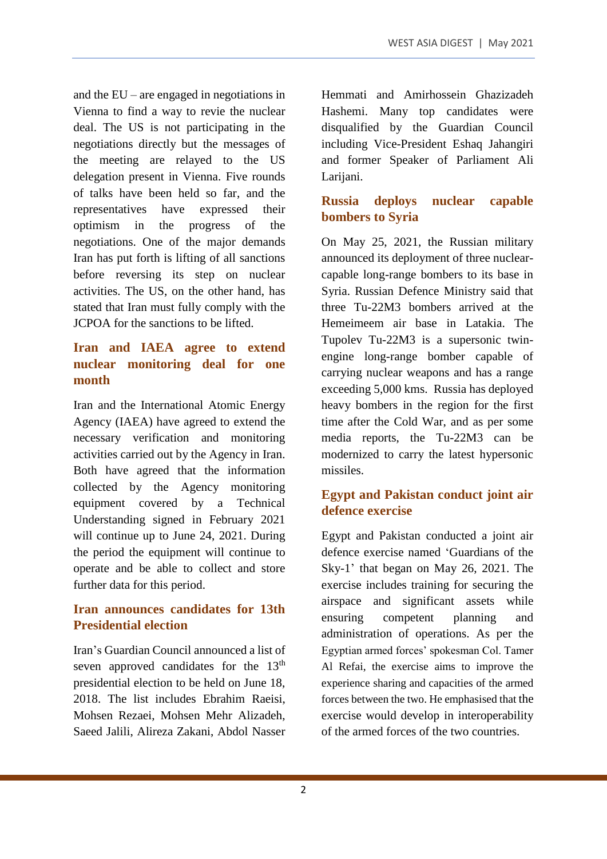and the EU – are engaged in negotiations in Vienna to find a way to revie the nuclear deal. The US is not participating in the negotiations directly but the messages of the meeting are relayed to the US delegation present in Vienna. Five rounds of talks have been held so far, and the representatives have expressed their optimism in the progress of the negotiations. One of the major demands Iran has put forth is lifting of all sanctions before reversing its step on nuclear activities. The US, on the other hand, has stated that Iran must fully comply with the JCPOA for the sanctions to be lifted.

# **Iran and IAEA agree to extend nuclear monitoring deal for one month**

Iran and the International Atomic Energy Agency (IAEA) have agreed to extend the necessary verification and monitoring activities carried out by the Agency in Iran. Both have agreed that the information collected by the Agency monitoring equipment covered by a Technical Understanding signed in February 2021 will continue up to June 24, 2021. During the period the equipment will continue to operate and be able to collect and store further data for this period.

## **Iran announces candidates for 13th Presidential election**

Iran's Guardian Council announced a list of seven approved candidates for the  $13<sup>th</sup>$ presidential election to be held on June 18, 2018. The list includes Ebrahim Raeisi, Mohsen Rezaei, Mohsen Mehr Alizadeh, Saeed Jalili, Alireza Zakani, Abdol Nasser

Hemmati and Amirhossein Ghazizadeh Hashemi. Many top candidates were disqualified by the Guardian Council including Vice-President Eshaq Jahangiri and former Speaker of Parliament Ali Larijani.

# **Russia deploys nuclear capable bombers to Syria**

On May 25, 2021, the Russian military announced its deployment of three nuclearcapable long-range bombers to its base in Syria. Russian Defence Ministry said that three Tu-22M3 bombers arrived at the Hemeimeem air base in Latakia. The Tupolev Tu-22M3 is a supersonic twinengine long-range bomber capable of carrying nuclear weapons and has a range exceeding 5,000 kms. Russia has deployed heavy bombers in the region for the first time after the Cold War, and as per some media reports, the Tu-22M3 can be modernized to carry the latest hypersonic missiles.

# **Egypt and Pakistan conduct joint air defence exercise**

Egypt and Pakistan conducted a joint air defence exercise named 'Guardians of the Sky-1' that began on May 26, 2021. The exercise includes training for securing the airspace and significant assets while ensuring competent planning and administration of operations. As per the Egyptian armed forces' spokesman Col. Tamer Al Refai, the exercise aims to improve the experience sharing and capacities of the armed forces between the two. He emphasised that the exercise would develop in interoperability of the armed forces of the two countries.